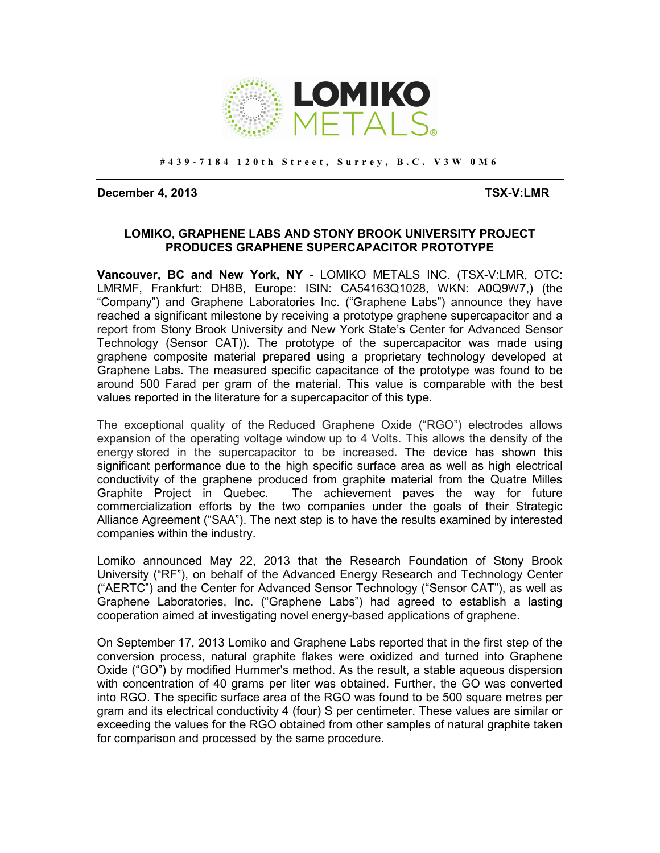

**# 4 3 9 - 7 1 8 4 1 2 0 t h S t r e e t , S u r r e y , B . C . V 3 W 0 M 6** 

**December 4, 2013 TSX-V:LMR** 

### **LOMIKO, GRAPHENE LABS AND STONY BROOK UNIVERSITY PROJECT PRODUCES GRAPHENE SUPERCAPACITOR PROTOTYPE**

**Vancouver, BC and New York, NY** - LOMIKO METALS INC. (TSX-V:LMR, OTC: LMRMF, Frankfurt: DH8B, Europe: ISIN: CA54163Q1028, WKN: A0Q9W7,) (the "Company") and Graphene Laboratories Inc. ("Graphene Labs") announce they have reached a significant milestone by receiving a prototype graphene supercapacitor and a report from Stony Brook University and New York State's Center for Advanced Sensor Technology (Sensor CAT)). The prototype of the supercapacitor was made using graphene composite material prepared using a proprietary technology developed at Graphene Labs. The measured specific capacitance of the prototype was found to be around 500 Farad per gram of the material. This value is comparable with the best values reported in the literature for a supercapacitor of this type.

The exceptional quality of the Reduced Graphene Oxide ("RGO") electrodes allows expansion of the operating voltage window up to 4 Volts. This allows the density of the energy stored in the supercapacitor to be increased**.** The device has shown this significant performance due to the high specific surface area as well as high electrical conductivity of the graphene produced from graphite material from the Quatre Milles Graphite Project in Quebec. The achievement paves the way for future commercialization efforts by the two companies under the goals of their Strategic Alliance Agreement ("SAA"). The next step is to have the results examined by interested companies within the industry.

Lomiko announced May 22, 2013 that the Research Foundation of Stony Brook University ("RF"), on behalf of the Advanced Energy Research and Technology Center ("AERTC") and the Center for Advanced Sensor Technology ("Sensor CAT"), as well as Graphene Laboratories, Inc. ("Graphene Labs") had agreed to establish a lasting cooperation aimed at investigating novel energy-based applications of graphene.

On September 17, 2013 Lomiko and Graphene Labs reported that in the first step of the conversion process, natural graphite flakes were oxidized and turned into Graphene Oxide ("GO") by modified Hummer's method. As the result, a stable aqueous dispersion with concentration of 40 grams per liter was obtained. Further, the GO was converted into RGO. The specific surface area of the RGO was found to be 500 square metres per gram and its electrical conductivity 4 (four) S per centimeter. These values are similar or exceeding the values for the RGO obtained from other samples of natural graphite taken for comparison and processed by the same procedure.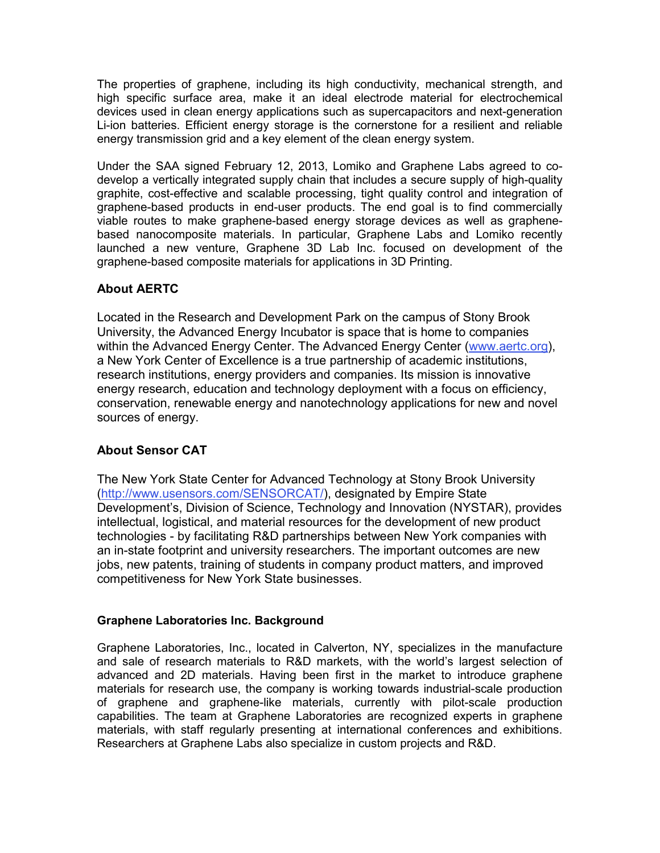The properties of graphene, including its high conductivity, mechanical strength, and high specific surface area, make it an ideal electrode material for electrochemical devices used in clean energy applications such as supercapacitors and next-generation Li-ion batteries. Efficient energy storage is the cornerstone for a resilient and reliable energy transmission grid and a key element of the clean energy system.

Under the SAA signed February 12, 2013, Lomiko and Graphene Labs agreed to codevelop a vertically integrated supply chain that includes a secure supply of high-quality graphite, cost-effective and scalable processing, tight quality control and integration of graphene-based products in end-user products. The end goal is to find commercially viable routes to make graphene-based energy storage devices as well as graphenebased nanocomposite materials. In particular, Graphene Labs and Lomiko recently launched a new venture, Graphene 3D Lab Inc. focused on development of the graphene-based composite materials for applications in 3D Printing.

# **About AERTC**

Located in the Research and Development Park on the campus of Stony Brook University, the Advanced Energy Incubator is space that is home to companies within the Advanced Energy Center. The Advanced Energy Center (www.aertc.org), a New York Center of Excellence is a true partnership of academic institutions, research institutions, energy providers and companies. Its mission is innovative energy research, education and technology deployment with a focus on efficiency, conservation, renewable energy and nanotechnology applications for new and novel sources of energy.

# **About Sensor CAT**

The New York State Center for Advanced Technology at Stony Brook University (http://www.usensors.com/SENSORCAT/), designated by Empire State Development's, Division of Science, Technology and Innovation (NYSTAR), provides intellectual, logistical, and material resources for the development of new product technologies - by facilitating R&D partnerships between New York companies with an in-state footprint and university researchers. The important outcomes are new jobs, new patents, training of students in company product matters, and improved competitiveness for New York State businesses.

## **Graphene Laboratories Inc. Background**

Graphene Laboratories, Inc., located in Calverton, NY, specializes in the manufacture and sale of research materials to R&D markets, with the world's largest selection of advanced and 2D materials. Having been first in the market to introduce graphene materials for research use, the company is working towards industrial-scale production of graphene and graphene-like materials, currently with pilot-scale production capabilities. The team at Graphene Laboratories are recognized experts in graphene materials, with staff regularly presenting at international conferences and exhibitions. Researchers at Graphene Labs also specialize in custom projects and R&D.